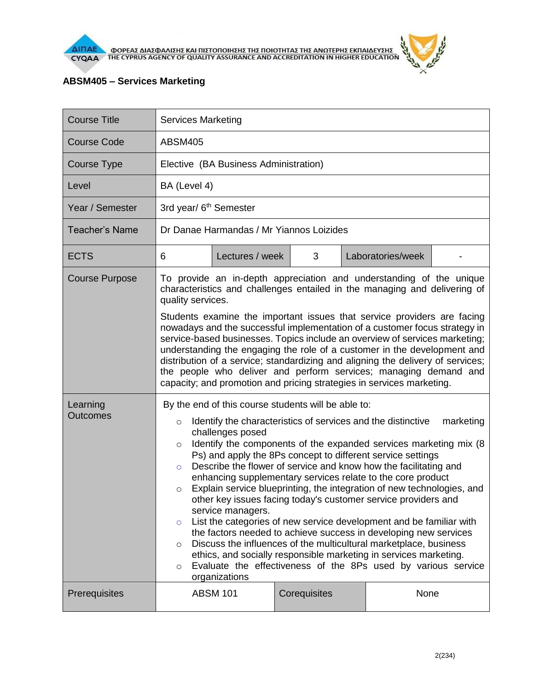



## **ABSM405 – Services Marketing**

| <b>Course Title</b>                           | <b>Services Marketing</b>                                                                                                                                                                                                                                                                                                                                                                                                                                                                                                                                                                                                                                                                                                                                                                                                                                                                           |                                    |              |                   |  |  |
|-----------------------------------------------|-----------------------------------------------------------------------------------------------------------------------------------------------------------------------------------------------------------------------------------------------------------------------------------------------------------------------------------------------------------------------------------------------------------------------------------------------------------------------------------------------------------------------------------------------------------------------------------------------------------------------------------------------------------------------------------------------------------------------------------------------------------------------------------------------------------------------------------------------------------------------------------------------------|------------------------------------|--------------|-------------------|--|--|
| <b>Course Code</b>                            | <b>ABSM405</b>                                                                                                                                                                                                                                                                                                                                                                                                                                                                                                                                                                                                                                                                                                                                                                                                                                                                                      |                                    |              |                   |  |  |
| Course Type                                   | Elective (BA Business Administration)                                                                                                                                                                                                                                                                                                                                                                                                                                                                                                                                                                                                                                                                                                                                                                                                                                                               |                                    |              |                   |  |  |
| Level                                         | BA (Level 4)                                                                                                                                                                                                                                                                                                                                                                                                                                                                                                                                                                                                                                                                                                                                                                                                                                                                                        |                                    |              |                   |  |  |
| Year / Semester                               |                                                                                                                                                                                                                                                                                                                                                                                                                                                                                                                                                                                                                                                                                                                                                                                                                                                                                                     | 3rd year/ 6 <sup>th</sup> Semester |              |                   |  |  |
| <b>Teacher's Name</b>                         | Dr Danae Harmandas / Mr Yiannos Loizides                                                                                                                                                                                                                                                                                                                                                                                                                                                                                                                                                                                                                                                                                                                                                                                                                                                            |                                    |              |                   |  |  |
| <b>ECTS</b>                                   | 6                                                                                                                                                                                                                                                                                                                                                                                                                                                                                                                                                                                                                                                                                                                                                                                                                                                                                                   | Lectures / week                    | 3            | Laboratories/week |  |  |
| <b>Course Purpose</b><br>Learning<br>Outcomes | To provide an in-depth appreciation and understanding of the unique<br>characteristics and challenges entailed in the managing and delivering of<br>quality services.<br>Students examine the important issues that service providers are facing<br>nowadays and the successful implementation of a customer focus strategy in<br>service-based businesses. Topics include an overview of services marketing;<br>understanding the engaging the role of a customer in the development and<br>distribution of a service; standardizing and aligning the delivery of services;<br>the people who deliver and perform services; managing demand and<br>capacity; and promotion and pricing strategies in services marketing.<br>By the end of this course students will be able to:<br>Identify the characteristics of services and the distinctive<br>marketing<br>$\circ$                            |                                    |              |                   |  |  |
|                                               | challenges posed<br>Identify the components of the expanded services marketing mix (8)<br>$\circ$<br>Ps) and apply the 8Ps concept to different service settings<br>Describe the flower of service and know how the facilitating and<br>$\Omega$<br>enhancing supplementary services relate to the core product<br>Explain service blueprinting, the integration of new technologies, and<br>$\circ$<br>other key issues facing today's customer service providers and<br>service managers.<br>List the categories of new service development and be familiar with<br>$\circ$<br>the factors needed to achieve success in developing new services<br>Discuss the influences of the multicultural marketplace, business<br>$\circ$<br>ethics, and socially responsible marketing in services marketing.<br>Evaluate the effectiveness of the 8Ps used by various service<br>$\circ$<br>organizations |                                    |              |                   |  |  |
| Prerequisites                                 |                                                                                                                                                                                                                                                                                                                                                                                                                                                                                                                                                                                                                                                                                                                                                                                                                                                                                                     | <b>ABSM 101</b>                    | Corequisites | None              |  |  |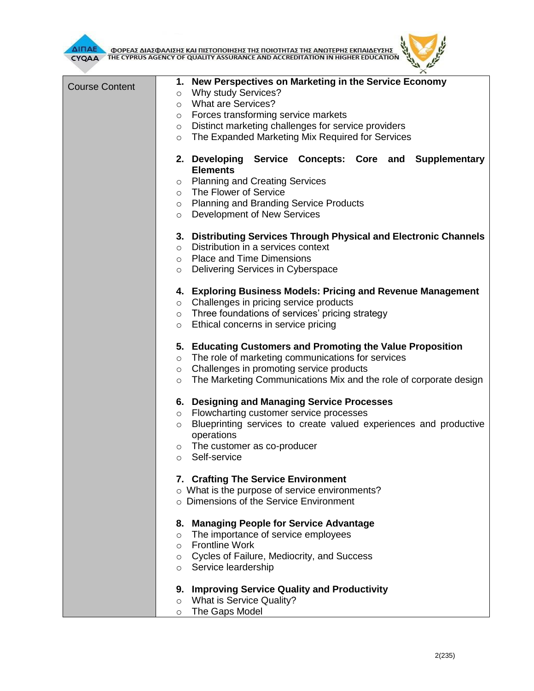

**AITIAE A OOPEAE AIAE DANIERE KAI TIIETOTOIRERE TRE TOIOTRTAE TRE ANOTEPRE EKTIAIAEYERE AND ACCREDITATION IN HIGHER EDUCATION** 

| <b>CTOAA</b>          | THE CIT NOS AGENCY OF QUALITY ASSOUNDED AND ACCREDITATION IN HIGHER EDUCAT                                                                                                                                                                                                                                         |
|-----------------------|--------------------------------------------------------------------------------------------------------------------------------------------------------------------------------------------------------------------------------------------------------------------------------------------------------------------|
| <b>Course Content</b> | 1. New Perspectives on Marketing in the Service Economy<br><b>Why study Services?</b><br>$\circ$<br><b>What are Services?</b><br>$\circ$<br>o Forces transforming service markets<br>Distinct marketing challenges for service providers<br>$\circ$<br>The Expanded Marketing Mix Required for Services<br>$\circ$ |
|                       | 2. Developing Service Concepts: Core and Supplementary<br><b>Elements</b><br><b>Planning and Creating Services</b><br>$\circ$<br>The Flower of Service<br>$\circ$<br>o Planning and Branding Service Products<br>Development of New Services<br>$\circ$                                                            |
|                       | 3. Distributing Services Through Physical and Electronic Channels<br>Distribution in a services context<br>$\circ$<br>o Place and Time Dimensions<br>Delivering Services in Cyberspace<br>$\circ$                                                                                                                  |
|                       | 4. Exploring Business Models: Pricing and Revenue Management<br>o Challenges in pricing service products<br>Three foundations of services' pricing strategy<br>$\circ$<br>Ethical concerns in service pricing<br>$\circ$                                                                                           |
|                       | 5. Educating Customers and Promoting the Value Proposition<br>The role of marketing communications for services<br>$\circ$<br>Challenges in promoting service products<br>$\circ$<br>The Marketing Communications Mix and the role of corporate design<br>$\circ$                                                  |
|                       | 6. Designing and Managing Service Processes<br>Flowcharting customer service processes<br>$\circ$<br>Blueprinting services to create valued experiences and productive<br>$\circ$<br>operations<br>The customer as co-producer<br>$\circ$<br>Self-service<br>$\circ$                                               |
|                       | 7. Crafting The Service Environment<br>o What is the purpose of service environments?<br>o Dimensions of the Service Environment                                                                                                                                                                                   |
|                       | 8. Managing People for Service Advantage<br>The importance of service employees<br>$\circ$<br><b>Frontline Work</b><br>$\circ$<br>Cycles of Failure, Mediocrity, and Success<br>$\circ$<br>Service leardership<br>$\circ$                                                                                          |
|                       | <b>Improving Service Quality and Productivity</b><br>9.<br>What is Service Quality?<br>$\circ$<br>The Gaps Model<br>$\circ$                                                                                                                                                                                        |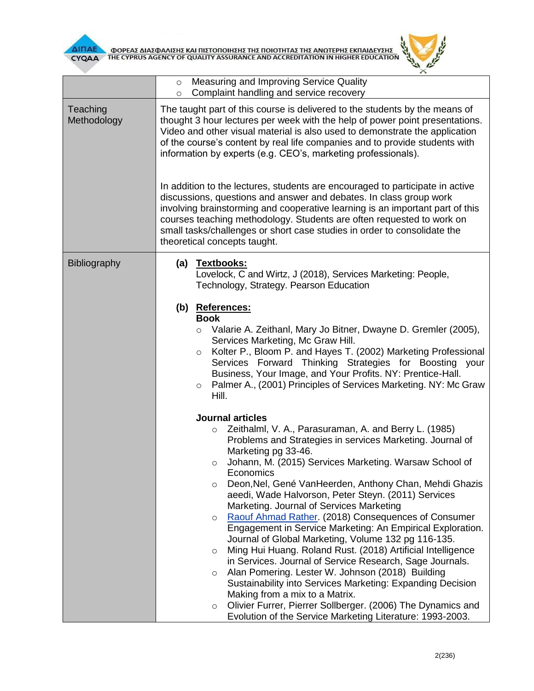



|                         | Measuring and Improving Service Quality<br>$\circ$<br>Complaint handling and service recovery<br>$\circ$                                                                                                                                                                                                                                                                                                                                                                                                                                                                                                                                                                                                                                                                                                                                                                                                                                                                                                                                                                |  |  |  |  |
|-------------------------|-------------------------------------------------------------------------------------------------------------------------------------------------------------------------------------------------------------------------------------------------------------------------------------------------------------------------------------------------------------------------------------------------------------------------------------------------------------------------------------------------------------------------------------------------------------------------------------------------------------------------------------------------------------------------------------------------------------------------------------------------------------------------------------------------------------------------------------------------------------------------------------------------------------------------------------------------------------------------------------------------------------------------------------------------------------------------|--|--|--|--|
| Teaching<br>Methodology | The taught part of this course is delivered to the students by the means of<br>thought 3 hour lectures per week with the help of power point presentations.<br>Video and other visual material is also used to demonstrate the application<br>of the course's content by real life companies and to provide students with<br>information by experts (e.g. CEO's, marketing professionals).<br>In addition to the lectures, students are encouraged to participate in active<br>discussions, questions and answer and debates. In class group work<br>involving brainstorming and cooperative learning is an important part of this<br>courses teaching methodology. Students are often requested to work on<br>small tasks/challenges or short case studies in order to consolidate the<br>theoretical concepts taught.                                                                                                                                                                                                                                                 |  |  |  |  |
|                         |                                                                                                                                                                                                                                                                                                                                                                                                                                                                                                                                                                                                                                                                                                                                                                                                                                                                                                                                                                                                                                                                         |  |  |  |  |
| <b>Bibliography</b>     | (a) Textbooks:<br>Lovelock, C and Wirtz, J (2018), Services Marketing: People,<br>Technology, Strategy. Pearson Education                                                                                                                                                                                                                                                                                                                                                                                                                                                                                                                                                                                                                                                                                                                                                                                                                                                                                                                                               |  |  |  |  |
|                         | (b) References:<br><b>Book</b><br>Valarie A. Zeithanl, Mary Jo Bitner, Dwayne D. Gremler (2005),<br>$\circ$<br>Services Marketing, Mc Graw Hill.<br>Kolter P., Bloom P. and Hayes T. (2002) Marketing Professional<br>$\circ$<br>Services Forward Thinking Strategies for Boosting your<br>Business, Your Image, and Your Profits. NY: Prentice-Hall.<br>Palmer A., (2001) Principles of Services Marketing. NY: Mc Graw<br>$\circ$<br>Hill.                                                                                                                                                                                                                                                                                                                                                                                                                                                                                                                                                                                                                            |  |  |  |  |
|                         | <b>Journal articles</b><br>Zeithalml, V. A., Parasuraman, A. and Berry L. (1985)<br>$\circ$<br>Problems and Strategies in services Marketing. Journal of<br>Marketing pg 33-46.<br>Johann, M. (2015) Services Marketing. Warsaw School of<br>O<br>Economics<br>Deon, Nel, Gené Van Heerden, Anthony Chan, Mehdi Ghazis<br>$\circ$<br>aeedi, Wade Halvorson, Peter Steyn. (2011) Services<br>Marketing. Journal of Services Marketing<br>Raouf Ahmad Rather. (2018) Consequences of Consumer<br>$\circ$<br>Engagement in Service Marketing: An Empirical Exploration.<br>Journal of Global Marketing, Volume 132 pg 116-135.<br>Ming Hui Huang. Roland Rust. (2018) Artificial Intelligence<br>$\circ$<br>in Services. Journal of Service Research, Sage Journals.<br>Alan Pomering. Lester W. Johnson (2018) Building<br>$\circ$<br>Sustainability into Services Marketing: Expanding Decision<br>Making from a mix to a Matrix.<br>Olivier Furrer, Pierrer Sollberger. (2006) The Dynamics and<br>$\circ$<br>Evolution of the Service Marketing Literature: 1993-2003. |  |  |  |  |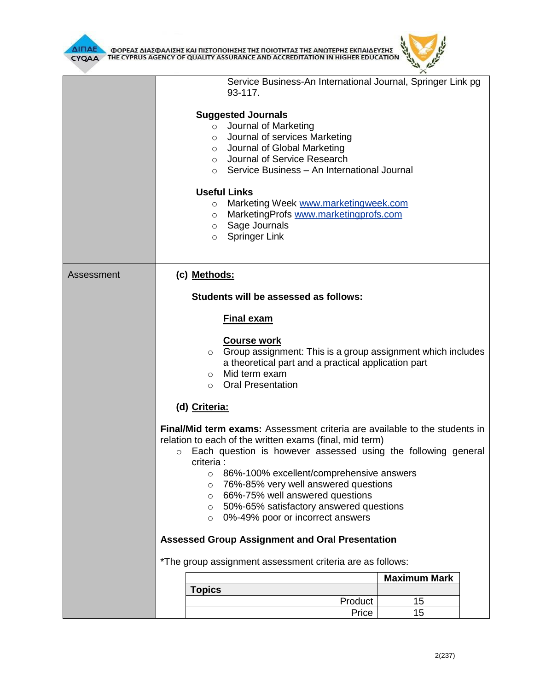

|            | Service Business-An International Journal, Springer Link pg<br>93-117.                                                                                                                                                                                                                                                                                                                                                                                                                        |                                                                                                                                                                                                                                                                  |                     |  |  |
|------------|-----------------------------------------------------------------------------------------------------------------------------------------------------------------------------------------------------------------------------------------------------------------------------------------------------------------------------------------------------------------------------------------------------------------------------------------------------------------------------------------------|------------------------------------------------------------------------------------------------------------------------------------------------------------------------------------------------------------------------------------------------------------------|---------------------|--|--|
|            | $\circ$<br>$\circ$<br>$\circ$<br>$\circ$<br>$\circ$                                                                                                                                                                                                                                                                                                                                                                                                                                           | <b>Suggested Journals</b><br>o Journal of Marketing<br>Journal of services Marketing<br>Journal of Global Marketing<br>Journal of Service Research<br>Service Business - An International Journal<br><b>Useful Links</b><br>Marketing Week www.marketingweek.com |                     |  |  |
|            | $\circ$                                                                                                                                                                                                                                                                                                                                                                                                                                                                                       | MarketingProfs www.marketingprofs.com                                                                                                                                                                                                                            |                     |  |  |
|            | $\circ$<br>$\circ$                                                                                                                                                                                                                                                                                                                                                                                                                                                                            | Sage Journals<br><b>Springer Link</b>                                                                                                                                                                                                                            |                     |  |  |
| Assessment | (c) Methods:                                                                                                                                                                                                                                                                                                                                                                                                                                                                                  |                                                                                                                                                                                                                                                                  |                     |  |  |
|            |                                                                                                                                                                                                                                                                                                                                                                                                                                                                                               | Students will be assessed as follows:                                                                                                                                                                                                                            |                     |  |  |
|            |                                                                                                                                                                                                                                                                                                                                                                                                                                                                                               | <b>Final exam</b>                                                                                                                                                                                                                                                |                     |  |  |
|            | $\circ$<br>$\circ$<br>$\circ$                                                                                                                                                                                                                                                                                                                                                                                                                                                                 | <b>Course work</b><br>Group assignment: This is a group assignment which includes<br>a theoretical part and a practical application part<br>Mid term exam<br><b>Oral Presentation</b>                                                                            |                     |  |  |
|            | (d) Criteria:                                                                                                                                                                                                                                                                                                                                                                                                                                                                                 |                                                                                                                                                                                                                                                                  |                     |  |  |
|            | <b>Final/Mid term exams:</b> Assessment criteria are available to the students in<br>relation to each of the written exams (final, mid term)<br>Each question is however assessed using the following general<br>$\circ$<br>criteria :<br>86%-100% excellent/comprehensive answers<br>O<br>76%-85% very well answered questions<br>$\circ$<br>66%-75% well answered questions<br>$\circ$<br>50%-65% satisfactory answered questions<br>$\circ$<br>0%-49% poor or incorrect answers<br>$\circ$ |                                                                                                                                                                                                                                                                  |                     |  |  |
|            | <b>Assessed Group Assignment and Oral Presentation</b>                                                                                                                                                                                                                                                                                                                                                                                                                                        |                                                                                                                                                                                                                                                                  |                     |  |  |
|            | *The group assignment assessment criteria are as follows:                                                                                                                                                                                                                                                                                                                                                                                                                                     |                                                                                                                                                                                                                                                                  |                     |  |  |
|            |                                                                                                                                                                                                                                                                                                                                                                                                                                                                                               |                                                                                                                                                                                                                                                                  | <b>Maximum Mark</b> |  |  |
|            | <b>Topics</b>                                                                                                                                                                                                                                                                                                                                                                                                                                                                                 |                                                                                                                                                                                                                                                                  |                     |  |  |
|            |                                                                                                                                                                                                                                                                                                                                                                                                                                                                                               | Product<br>Price                                                                                                                                                                                                                                                 | 15<br>15            |  |  |
|            |                                                                                                                                                                                                                                                                                                                                                                                                                                                                                               |                                                                                                                                                                                                                                                                  |                     |  |  |

 $\mu$  $\times$